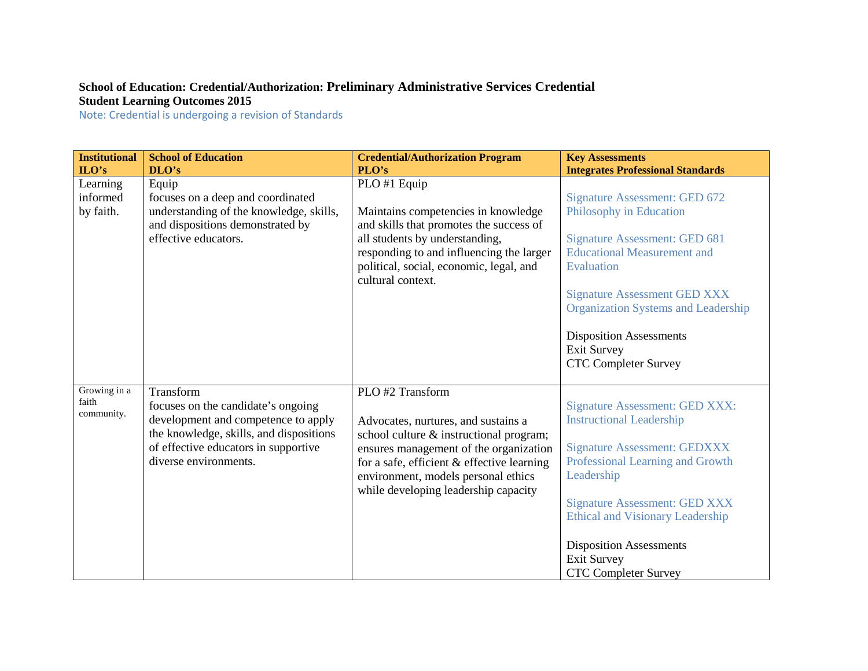## **School of Education: Credential/Authorization: Preliminary Administrative Services Credential Student Learning Outcomes 2015**

Note: Credential is undergoing a revision of Standards

| <b>Institutional</b> | <b>School of Education</b>                                                   | <b>Credential/Authorization Program</b>    | <b>Key Assessments</b>                                          |
|----------------------|------------------------------------------------------------------------------|--------------------------------------------|-----------------------------------------------------------------|
| $LO's$               | DLO's                                                                        | PLO's                                      | <b>Integrates Professional Standards</b>                        |
| Learning<br>informed | Equip                                                                        | PLO #1 Equip                               |                                                                 |
| by faith.            | focuses on a deep and coordinated<br>understanding of the knowledge, skills, | Maintains competencies in knowledge        | <b>Signature Assessment: GED 672</b><br>Philosophy in Education |
|                      | and dispositions demonstrated by                                             | and skills that promotes the success of    |                                                                 |
|                      | effective educators.                                                         | all students by understanding,             | <b>Signature Assessment: GED 681</b>                            |
|                      |                                                                              | responding to and influencing the larger   | <b>Educational Measurement and</b>                              |
|                      |                                                                              | political, social, economic, legal, and    | Evaluation                                                      |
|                      |                                                                              | cultural context.                          |                                                                 |
|                      |                                                                              |                                            | <b>Signature Assessment GED XXX</b>                             |
|                      |                                                                              |                                            | <b>Organization Systems and Leadership</b>                      |
|                      |                                                                              |                                            |                                                                 |
|                      |                                                                              |                                            | <b>Disposition Assessments</b>                                  |
|                      |                                                                              |                                            | <b>Exit Survey</b>                                              |
|                      |                                                                              |                                            | <b>CTC Completer Survey</b>                                     |
|                      |                                                                              |                                            |                                                                 |
| Growing in a         | Transform                                                                    | PLO #2 Transform                           |                                                                 |
| faith<br>community.  | focuses on the candidate's ongoing                                           |                                            | <b>Signature Assessment: GED XXX:</b>                           |
|                      | development and competence to apply                                          | Advocates, nurtures, and sustains a        | <b>Instructional Leadership</b>                                 |
|                      | the knowledge, skills, and dispositions                                      | school culture & instructional program;    |                                                                 |
|                      | of effective educators in supportive                                         | ensures management of the organization     | <b>Signature Assessment: GEDXXX</b>                             |
|                      | diverse environments.                                                        | for a safe, efficient & effective learning | Professional Learning and Growth                                |
|                      |                                                                              | environment, models personal ethics        | Leadership                                                      |
|                      |                                                                              | while developing leadership capacity       | <b>Signature Assessment: GED XXX</b>                            |
|                      |                                                                              |                                            | <b>Ethical and Visionary Leadership</b>                         |
|                      |                                                                              |                                            |                                                                 |
|                      |                                                                              |                                            | <b>Disposition Assessments</b>                                  |
|                      |                                                                              |                                            | <b>Exit Survey</b>                                              |
|                      |                                                                              |                                            | <b>CTC Completer Survey</b>                                     |